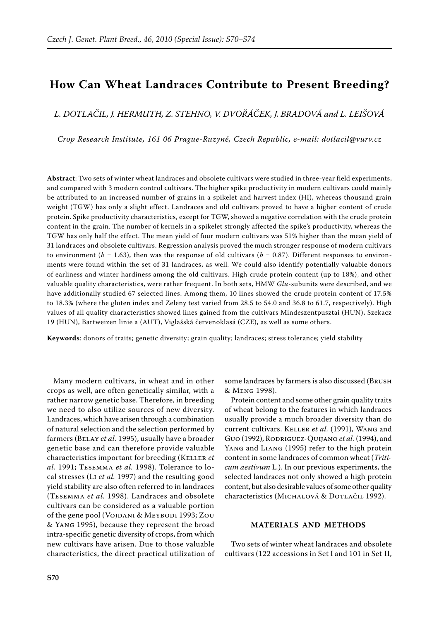# **How Can Wheat Landraces Contribute to Present Breeding?**

*L. Dotlačil, J. Hermuth, Z. Stehno, V. Dvořáček, J. Bradová and L. Leišová*

*Crop Research Institute, 161 06 Prague-Ruzyně, Czech Republic, e-mail: dotlacil@vurv.cz*

**Abstract**: Two sets of winter wheat landraces and obsolete cultivars were studied in three-year field experiments, and compared with 3 modern control cultivars. The higher spike productivity in modern cultivars could mainly be attributed to an increased number of grains in a spikelet and harvest index (HI), whereas thousand grain weight (TGW) has only a slight effect. Landraces and old cultivars proved to have a higher content of crude protein. Spike productivity characteristics, except for TGW, showed a negative correlation with the crude protein content in the grain. The number of kernels in a spikelet strongly affected the spike's productivity, whereas the TGW has only half the effect. The mean yield of four modern cultivars was 51% higher than the mean yield of 31 landraces and obsolete cultivars. Regression analysis proved the much stronger response of modern cultivars to environment ( $b = 1.63$ ), then was the response of old cultivars ( $b = 0.87$ ). Different responses to environments were found within the set of 31 landraces, as well. We could also identify potentially valuable donors of earliness and winter hardiness among the old cultivars. High crude protein content (up to 18%), and other valuable quality characteristics, were rather frequent. In both sets, HMW *Glu*-subunits were described, and we have additionally studied 67 selected lines. Among them, 10 lines showed the crude protein content of 17.5% to 18.3% (where the gluten index and Zeleny test varied from 28.5 to 54.0 and 36.8 to 61.7, respectively). High values of all quality characteristics showed lines gained from the cultivars Mindeszentpusztai (HUN), Szekacz 19 (HUN), Bartweizen linie a (AUT), Viglašská červenoklasá (CZE), as well as some others.

**Keywords**: donors of traits; genetic diversity; grain quality; landraces; stress tolerance; yield stability

Many modern cultivars, in wheat and in other crops as well, are often genetically similar, with a rather narrow genetic base. Therefore, in breeding we need to also utilize sources of new diversity. Landraces, which have arisen through a combination of natural selection and the selection performed by farmers (BELAY et al. 1995), usually have a broader genetic base and can therefore provide valuable characteristics important for breeding (Keller *et al.* 1991; Tesemma *et al.* 1998). Tolerance to local stresses (Li *et al.* 1997) and the resulting good yield stability are also often referred to in landraces (Tesemma *et al.* 1998). Landraces and obsolete cultivars can be considered as a valuable portion of the gene pool (VOJDANI & MEYBODI 1993; ZOU & Yang 1995), because they represent the broad intra-specific genetic diversity of crops, from which new cultivars have arisen. Due to those valuable characteristics, the direct practical utilization of some landraces by farmers is also discussed (Brush & Meng 1998).

Protein content and some other grain quality traits of wheat belong to the features in which landraces usually provide a much broader diversity than do current cultivars. Keller *et al.* (1991), Wang and Guo (1992), Rodriguez-Quijano *et al.* (1994), and YANG and LIANG (1995) refer to the high protein content in some landraces of common wheat (*Triticum aestivum* L*.*). In our previous experiments, the selected landraces not only showed a high protein content, but also desirable values of some other quality characteristics (MICHALOVÁ & DOTLAČIL 1992).

## **MATERIALS AND METHODS**

Two sets of winter wheat landraces and obsolete cultivars (122 accessions in Set I and 101 in Set II,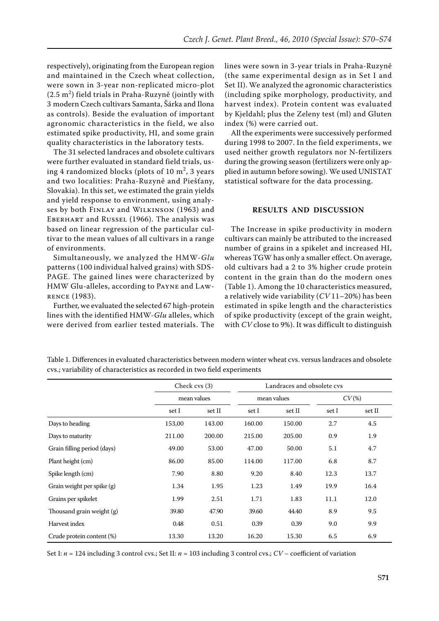respectively), originating from the European region and maintained in the Czech wheat collection, were sown in 3-year non-replicated micro-plot  $(2.5 \text{ m}^2)$  field trials in Praha-Ruzyně (jointly with 3 modern Czech cultivars Samanta, Šárka and Ilona as controls). Beside the evaluation of important agronomic characteristics in the field, we also estimated spike productivity, HI, and some grain quality characteristics in the laboratory tests.

The 31 selected landraces and obsolete cultivars were further evaluated in standard field trials, using 4 randomized blocks (plots of 10  $\mathrm{m}^2$ , 3 years and two localities: Praha-Ruzyně and Piešťany, Slovakia). In this set, we estimated the grain yields and yield response to environment, using analyses by both FINLAY and WILKINSON (1963) and Eberhart and Russel (1966). The analysis was based on linear regression of the particular cultivar to the mean values of all cultivars in a range of environments.

Simultaneously, we analyzed the HMW-*Glu* patterns (100 individual halved grains) with SDS-PAGE. The gained lines were characterized by HMW Glu-alleles, according to Payne and Lawrence (1983).

Further, we evaluated the selected 67 high-protein lines with the identified HMW-*Glu* alleles, which were derived from earlier tested materials. The lines were sown in 3-year trials in Praha-Ruzyně (the same experimental design as in Set I and Set II). We analyzed the agronomic characteristics (including spike morphology, productivity, and harvest index). Protein content was evaluated by Kjeldahl; plus the Zeleny test (ml) and Gluten index (%) were carried out.

All the experiments were successively performed during 1998 to 2007. In the field experiments, we used neither growth regulators nor N-fertilizers during the growing season (fertilizers were only applied in autumn before sowing). We used UNISTAT statistical software for the data processing.

## **RESULTS AND DISCUSSION**

The Increase in spike productivity in modern cultivars can mainly be attributed to the increased number of grains in a spikelet and increased HI, whereas TGW has only a smaller effect. On average, old cultivars had a 2 to 3% higher crude protein content in the grain than do the modern ones (Table 1). Among the 10 characteristics measured, a relatively wide variability (*CV* 11–20%) has been estimated in spike length and the characteristics of spike productivity (except of the grain weight, with *CV* close to 9%). It was difficult to distinguish

Table 1. Differences in evaluated characteristics between modern winter wheat cvs. versus landraces and obsolete cvs.; variability of characteristics as recorded in two field experiments

|                             | Check cvs (3)<br>mean values |        |             | Landraces and obsolete cys |          |        |
|-----------------------------|------------------------------|--------|-------------|----------------------------|----------|--------|
|                             |                              |        | mean values |                            | $CV(\%)$ |        |
|                             | set I                        | set II | set I       | set II                     | set I    | set II |
| Days to heading             | 153,00                       | 143.00 | 160.00      | 150.00                     | 2.7      | 4.5    |
| Days to maturity            | 211.00                       | 200.00 | 215.00      | 205.00                     | 0.9      | 1.9    |
| Grain filling period (days) | 49.00                        | 53.00  | 47.00       | 50.00                      | 5.1      | 4.7    |
| Plant height (cm)           | 86.00                        | 85.00  | 114.00      | 117.00                     | 6.8      | 8.7    |
| Spike length (cm)           | 7.90                         | 8.80   | 9.20        | 8.40                       | 12.3     | 13.7   |
| Grain weight per spike (g)  | 1.34                         | 1.95   | 1.23        | 1.49                       | 19.9     | 16.4   |
| Grains per spikelet         | 1.99                         | 2.51   | 1.71        | 1.83                       | 11.1     | 12.0   |
| Thousand grain weight (g)   | 39.80                        | 47.90  | 39.60       | 44.40                      | 8.9      | 9.5    |
| Harvest index               | 0.48                         | 0.51   | 0.39        | 0.39                       | 9.0      | 9.9    |
| Crude protein content (%)   | 13.30                        | 13.20  | 16.20       | 15.30                      | 6.5      | 6.9    |

Set I: *n* = 124 including 3 control cvs.; Set II: *n* = 103 including 3 control cvs.; *CV* – coefficient of variation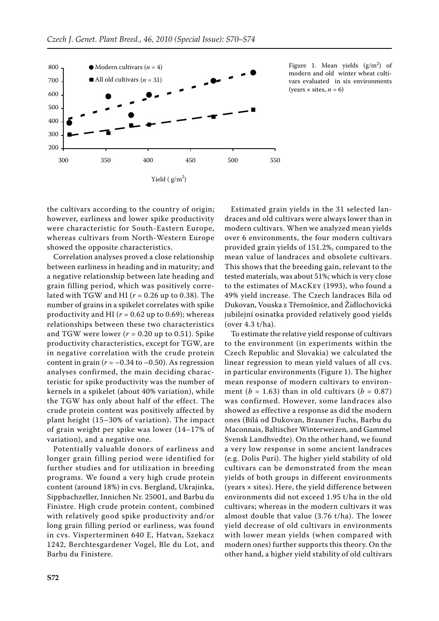

Figure 1. Mean yields  $(g/m^2)$  of modern and old winter wheat cultivars evaluated in six environments (years  $\times$  sites,  $n = 6$ )

the cultivars according to the country of origin; however, earliness and lower spike productivity were characteristic for South-Eastern Europe, whereas cultivars from North-Western Europe showed the opposite characteristics.

Correlation analyses proved a close relationship between earliness in heading and in maturity; and a negative relationship between late heading and grain filling period, which was positively correlated with TGW and HI (*r* = 0.26 up to 0.38). The number of grains in a spikelet correlates with spike productivity and HI ( $r = 0.62$  up to 0.69); whereas relationships between these two characteristics and TGW were lower  $(r = 0.20$  up to 0.51). Spike productivity characteristics, except for TGW, are in negative correlation with the crude protein content in grain  $(r = -0.34$  to  $-0.50)$ . As regression analyses confirmed, the main deciding characteristic for spike productivity was the number of kernels in a spikelet (about 40% variation), while the TGW has only about half of the effect. The crude protein content was positively affected by plant height (15–30% of variation). The impact of grain weight per spike was lower (14–17% of variation), and a negative one.

Potentially valuable donors of earliness and longer grain filling period were identified for further studies and for utilization in breeding programs. We found a very high crude protein content (around 18%) in cvs. Bergland, Ukrajinka, Sippbachzeller, Innichen Nr. 25001, and Barbu du Finistre. High crude protein content, combined with relatively good spike productivity and/or long grain filling period or earliness, was found in cvs. Visperterminen 640 E, Hatvan, Szekacz 1242, Berchtesgardener Vogel, Ble du Lot, and Barbu du Finistere.

Estimated grain yields in the 31 selected landraces and old cultivars were always lower than in modern cultivars. When we analyzed mean yields over 6 environments, the four modern cultivars provided grain yields of 151.2%, compared to the mean value of landraces and obsolete cultivars. This shows that the breeding gain, relevant to the tested materials, was about 51%; which is very close to the estimates of MacKey (1993), who found a 49% yield increase. The Czech landraces Bíla od Dukovan, Vouska z Třemošnice, and Židlochovická jubilejní osinatka provided relatively good yields (over 4.3 t/ha).

To estimate the relative yield response of cultivars to the environment (in experiments within the Czech Republic and Slovakia) we calculated the linear regression to mean yield values of all cvs. in particular environments (Figure 1). The higher mean response of modern cultivars to environment ( $b = 1.63$ ) than in old cultivars ( $b = 0.87$ ) was confirmed. However, some landraces also showed as effective a response as did the modern ones (Bílá od Dukovan, Brauner Fuchs, Barbu du Maconnais, Baltischer Winterweizen, and Gammel Svensk Landhvedte). On the other hand, we found a very low response in some ancient landraces (e.g. Dolis Puri). The higher yield stability of old cultivars can be demonstrated from the mean yields of both groups in different environments (years × sites). Here, the yield difference between environments did not exceed 1.95 t/ha in the old cultivars; whereas in the modern cultivars it was almost double that value (3.76 t/ha). The lower yield decrease of old cultivars in environments with lower mean yields (when compared with modern ones) further supports this theory. On the other hand, a higher yield stability of old cultivars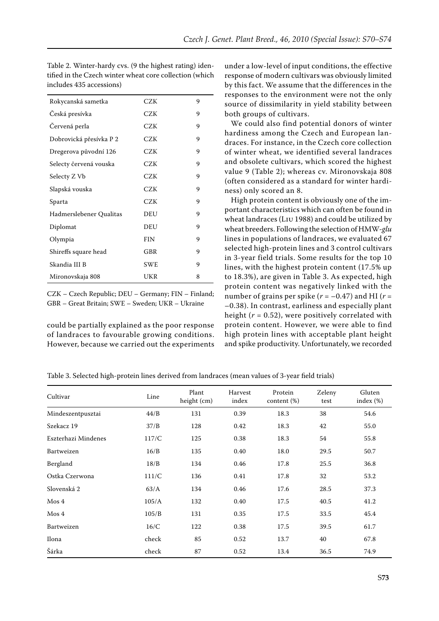| Rokycanská sametka      | CZK        | 9 |
|-------------------------|------------|---|
| Česká presívka          | CZK        | 9 |
| Červená perla           | CZK        | 9 |
| Dobrovická přesívka P 2 | CZK        | 9 |
| Dregerova původní 126   | CZK        | 9 |
| Selecty červená vouska  | CZK        | 9 |
| Selecty Z Vb            | CZK        | 9 |
| Slapská vouska          | CZK        | 9 |
| Sparta                  | CZK        | 9 |
| Hadmerslebener Qualitas | DEU        | 9 |
| Diplomat                | DEU        | 9 |
| Olympia                 | <b>FIN</b> | 9 |
| Shireffs square head    | GBR        | 9 |
| Skandia III B           | <b>SWE</b> | 9 |
| Mironovskaja 808        | UKR        | 8 |

Table 2. Winter-hardy cvs. (9 the highest rating) identified in the Czech winter wheat core collection (which includes 435 accessions)

CZK – Czech Republic; DEU – Germany; FIN – Finland; GBR – Great Britain; SWE – Sweden; UKR – Ukraine

could be partially explained as the poor response of landraces to favourable growing conditions. However, because we carried out the experiments

under a low-level of input conditions, the effective response of modern cultivars was obviously limited by this fact. We assume that the differences in the responses to the environment were not the only source of dissimilarity in yield stability between both groups of cultivars.

We could also find potential donors of winter hardiness among the Czech and European landraces. For instance, in the Czech core collection of winter wheat, we identified several landraces and obsolete cultivars, which scored the highest value 9 (Table 2); whereas cv. Mironovskaja 808 (often considered as a standard for winter hardiness) only scored an 8.

High protein content is obviously one of the important characteristics which can often be found in wheat landraces (Liu 1988) and could be utilized by wheat breeders. Following the selection of HMW-*glu* lines in populations of landraces, we evaluated 67 selected high-protein lines and 3 control cultivars in 3-year field trials. Some results for the top 10 lines, with the highest protein content (17.5% up to 18.3%), are given in Table 3. As expected, high protein content was negatively linked with the number of grains per spike  $(r = -0.47)$  and HI  $(r =$ –0.38). In contrast, earliness and especially plant height  $(r = 0.52)$ , were positively correlated with protein content. However, we were able to find high protein lines with acceptable plant height and spike productivity. Unfortunately, we recorded

Table 3. Selected high-protein lines derived from landraces (mean values of 3-year field trials)

| Cultivar            | Line  | Plant<br>height (cm) | Harvest<br>index | Protein<br>content $(\%)$ | Zeleny<br>test | Gluten<br>index $(\%)$ |
|---------------------|-------|----------------------|------------------|---------------------------|----------------|------------------------|
| Mindeszentpusztai   | 44/B  | 131                  | 0.39             | 18.3                      | 38             | 54.6                   |
| Szekacz 19          | 37/B  | 128                  | 0.42             | 18.3                      | 42             | 55.0                   |
| Eszterhazi Mindenes | 117/C | 125                  | 0.38             | 18.3                      | 54             | 55.8                   |
| Bartweizen          | 16/B  | 135                  | 0.40             | 18.0                      | 29.5           | 50.7                   |
| Bergland            | 18/B  | 134                  | 0.46             | 17.8                      | 25.5           | 36.8                   |
| Ostka Czerwona      | 111/C | 136                  | 0.41             | 17.8                      | 32             | 53.2                   |
| Slovenská 2         | 63/A  | 134                  | 0.46             | 17.6                      | 28.5           | 37.3                   |
| $M$ os 4            | 105/A | 132                  | 0.40             | 17.5                      | 40.5           | 41.2                   |
| Mos 4               | 105/B | 131                  | 0.35             | 17.5                      | 33.5           | 45.4                   |
| Bartweizen          | 16/C  | 122                  | 0.38             | 17.5                      | 39.5           | 61.7                   |
| Ilona               | check | 85                   | 0.52             | 13.7                      | 40             | 67.8                   |
| Šárka               | check | 87                   | 0.52             | 13.4                      | 36.5           | 74.9                   |